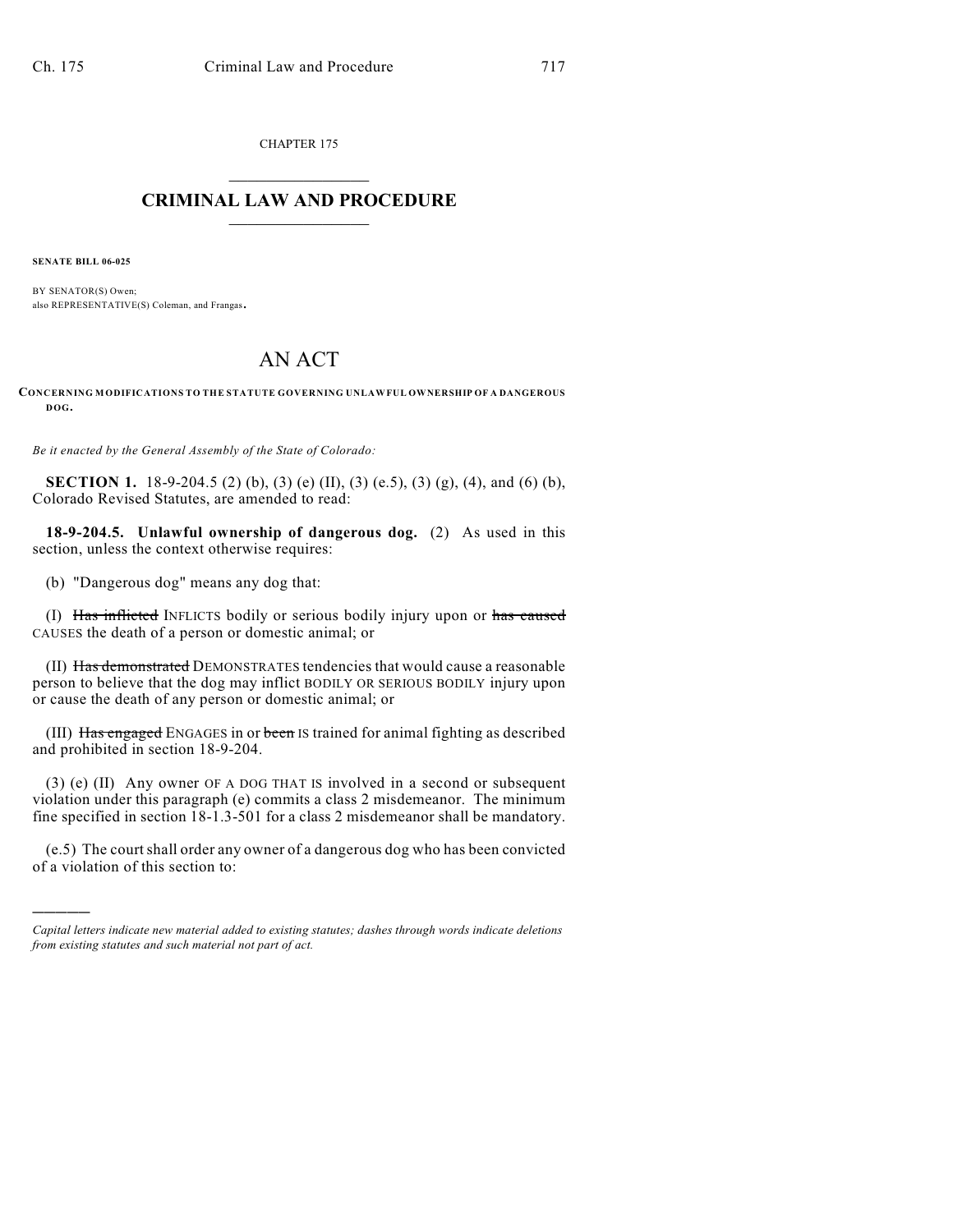CHAPTER 175  $\mathcal{L}_\text{max}$  . The set of the set of the set of the set of the set of the set of the set of the set of the set of the set of the set of the set of the set of the set of the set of the set of the set of the set of the set

## **CRIMINAL LAW AND PROCEDURE**  $\frac{1}{2}$  ,  $\frac{1}{2}$  ,  $\frac{1}{2}$  ,  $\frac{1}{2}$  ,  $\frac{1}{2}$  ,  $\frac{1}{2}$  ,  $\frac{1}{2}$

**SENATE BILL 06-025**

)))))

BY SENATOR(S) Owen; also REPRESENTATIVE(S) Coleman, and Frangas.

## AN ACT

**CONCERNING MODIFICATIONS TO THE STATUTE GOVERNING UNLAWFUL OWNERSHIP OF A DANGEROUS DOG.**

*Be it enacted by the General Assembly of the State of Colorado:*

**SECTION 1.** 18-9-204.5 (2) (b), (3) (e) (II), (3) (e.5), (3) (g), (4), and (6) (b), Colorado Revised Statutes, are amended to read:

**18-9-204.5. Unlawful ownership of dangerous dog.** (2) As used in this section, unless the context otherwise requires:

(b) "Dangerous dog" means any dog that:

(I) Has inflicted INFLICTS bodily or serious bodily injury upon or has caused CAUSES the death of a person or domestic animal; or

(II) Has demonstrated DEMONSTRATES tendencies that would cause a reasonable person to believe that the dog may inflict BODILY OR SERIOUS BODILY injury upon or cause the death of any person or domestic animal; or

(III) Has engaged ENGAGES in or been IS trained for animal fighting as described and prohibited in section 18-9-204.

(3) (e) (II) Any owner OF A DOG THAT IS involved in a second or subsequent violation under this paragraph (e) commits a class 2 misdemeanor. The minimum fine specified in section 18-1.3-501 for a class 2 misdemeanor shall be mandatory.

(e.5) The court shall order any owner of a dangerous dog who has been convicted of a violation of this section to:

*Capital letters indicate new material added to existing statutes; dashes through words indicate deletions from existing statutes and such material not part of act.*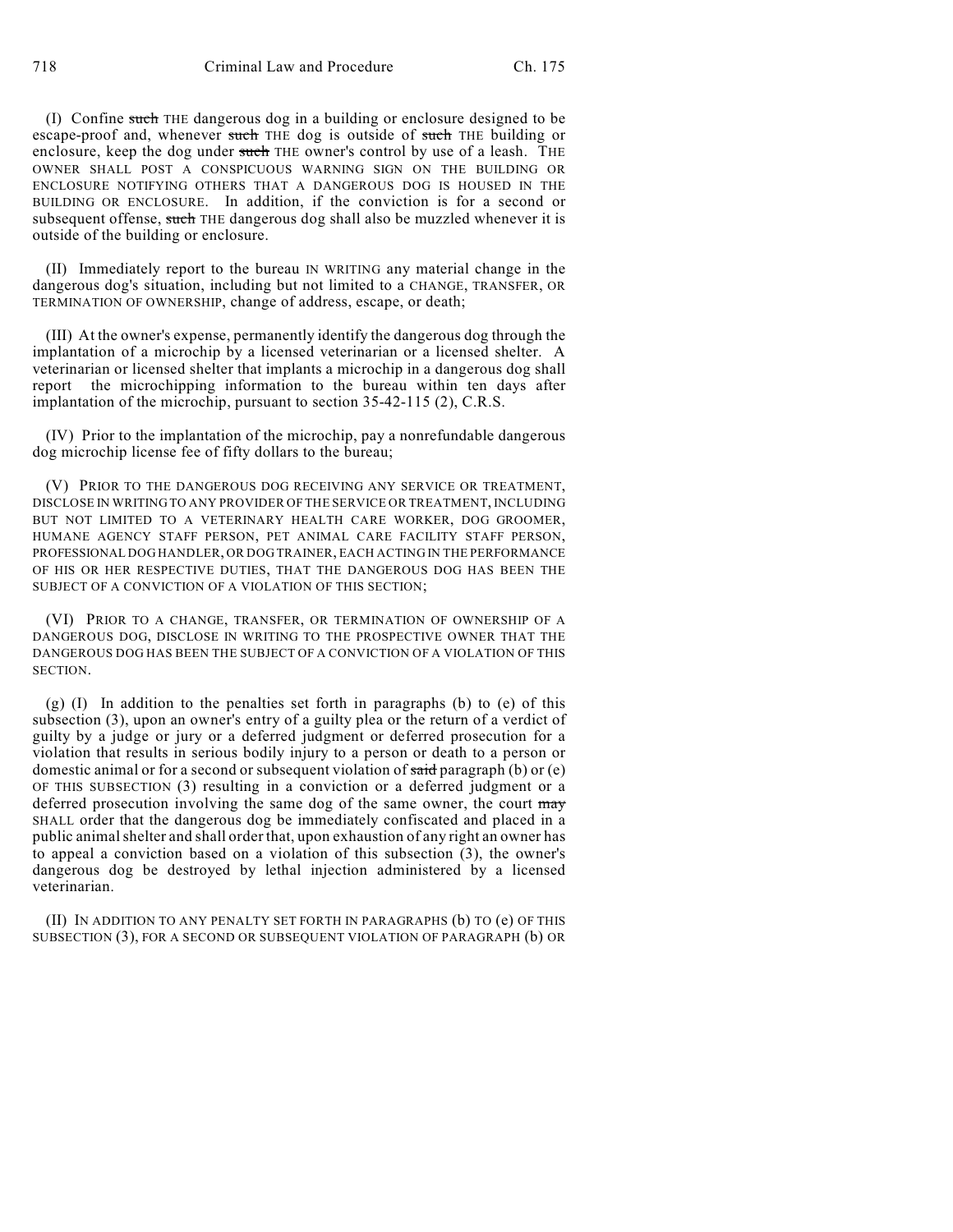(I) Confine such THE dangerous dog in a building or enclosure designed to be escape-proof and, whenever such THE dog is outside of such THE building or enclosure, keep the dog under such THE owner's control by use of a leash. THE OWNER SHALL POST A CONSPICUOUS WARNING SIGN ON THE BUILDING OR ENCLOSURE NOTIFYING OTHERS THAT A DANGEROUS DOG IS HOUSED IN THE BUILDING OR ENCLOSURE. In addition, if the conviction is for a second or subsequent offense, such THE dangerous dog shall also be muzzled whenever it is outside of the building or enclosure.

(II) Immediately report to the bureau IN WRITING any material change in the dangerous dog's situation, including but not limited to a CHANGE, TRANSFER, OR TERMINATION OF OWNERSHIP, change of address, escape, or death;

(III) At the owner's expense, permanently identify the dangerous dog through the implantation of a microchip by a licensed veterinarian or a licensed shelter. A veterinarian or licensed shelter that implants a microchip in a dangerous dog shall report the microchipping information to the bureau within ten days after implantation of the microchip, pursuant to section 35-42-115 (2), C.R.S.

(IV) Prior to the implantation of the microchip, pay a nonrefundable dangerous dog microchip license fee of fifty dollars to the bureau;

(V) PRIOR TO THE DANGEROUS DOG RECEIVING ANY SERVICE OR TREATMENT, DISCLOSE IN WRITING TO ANY PROVIDER OF THE SERVICE OR TREATMENT, INCLUDING BUT NOT LIMITED TO A VETERINARY HEALTH CARE WORKER, DOG GROOMER, HUMANE AGENCY STAFF PERSON, PET ANIMAL CARE FACILITY STAFF PERSON, PROFESSIONAL DOG HANDLER, OR DOG TRAINER, EACH ACTING IN THE PERFORMANCE OF HIS OR HER RESPECTIVE DUTIES, THAT THE DANGEROUS DOG HAS BEEN THE SUBJECT OF A CONVICTION OF A VIOLATION OF THIS SECTION;

(VI) PRIOR TO A CHANGE, TRANSFER, OR TERMINATION OF OWNERSHIP OF A DANGEROUS DOG, DISCLOSE IN WRITING TO THE PROSPECTIVE OWNER THAT THE DANGEROUS DOG HAS BEEN THE SUBJECT OF A CONVICTION OF A VIOLATION OF THIS SECTION.

(g) (I) In addition to the penalties set forth in paragraphs (b) to (e) of this subsection (3), upon an owner's entry of a guilty plea or the return of a verdict of guilty by a judge or jury or a deferred judgment or deferred prosecution for a violation that results in serious bodily injury to a person or death to a person or domestic animal or for a second or subsequent violation of  $s$ aid paragraph (b) or (e) OF THIS SUBSECTION (3) resulting in a conviction or a deferred judgment or a deferred prosecution involving the same dog of the same owner, the court may SHALL order that the dangerous dog be immediately confiscated and placed in a public animal shelter and shall order that, upon exhaustion of any right an owner has to appeal a conviction based on a violation of this subsection (3), the owner's dangerous dog be destroyed by lethal injection administered by a licensed veterinarian.

(II) IN ADDITION TO ANY PENALTY SET FORTH IN PARAGRAPHS (b) TO (e) OF THIS SUBSECTION (3), FOR A SECOND OR SUBSEQUENT VIOLATION OF PARAGRAPH (b) OR